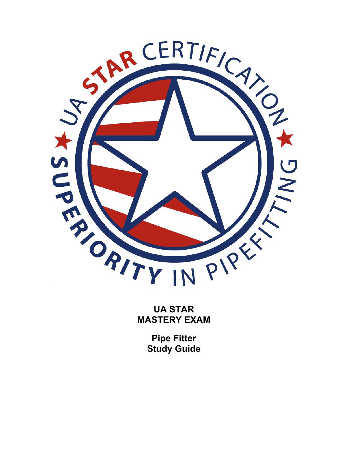

**UA STAR MASTERY EXAM** 

> **Pipe Fitter Study Guide**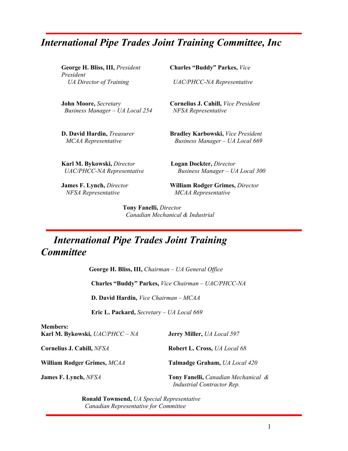# *International Pipe Trades Joint Training Committee, Inc*

*President* 

 *Business Manager – UA Local 254 NFSA Representative* 

**George H. Bliss, III,** *President* **Charles "Buddy" Parkes,** *Vice* 

 *UA Director of Training UAC/PHCC-NA Representative* 

 **John Moore,** *Secretary* **Cornelius J. Cahill,** *Vice President* 

**D. David Hardin,** *Treasurer* **Bradley Karbowski,** *Vice President MCAA Representative Business Manager – UA Local 669*

**Karl M. Bykowski,** *Director* **Logan Dockter,** *Director UAC/PHCC-NA Representative Business Manager – UA Local 300* 

**James F. Lynch,** *Director* **William Rodger Grimes,** *Director* 

 *NFSA Representative MCAA Representative*

**Members:** 

**Tony Fanelli,** *Director Canadian Mechanical & Industrial* 

## *International Pipe Trades Joint Training Committee*

**George H. Bliss, III,** *Chairman – UA General Office*   **Charles "Buddy" Parkes,** *Vice Chairman – UAC/PHCC-NA*

 **D. David Hardin,** *Vice Chairman – MCAA* 

 **Eric L. Packard,** *Secretary – UA Local 669* 

| iviembers:<br>Karl M. Bykowski, UAC/PHCC – NA | <b>Jerry Miller, <i>UA Local</i></b> 597                          |
|-----------------------------------------------|-------------------------------------------------------------------|
| Cornelius J. Cahill, NFSA                     | <b>Robert L. Cross, UA Local 68</b>                               |
| William Rodger Grimes, MCAA                   | Talmadge Graham, UA Local 420                                     |
| <b>James F. Lynch, NFSA</b>                   | Tony Fanelli, Canadian Mechanical &<br>Industrial Contractor Rep. |

**Ronald Townsend,** *UA Special Representative Canadian Representative for Committee*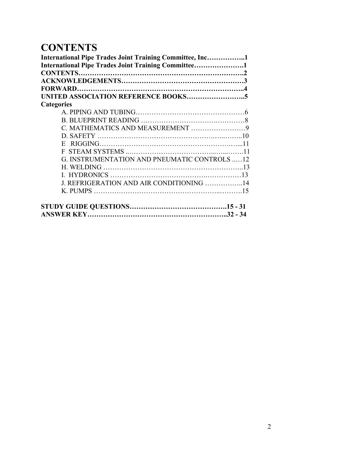# **CONTENTS**

| International Pipe Trades Joint Training Committee, Inc1 |  |
|----------------------------------------------------------|--|
| International Pipe Trades Joint Training Committee1      |  |
|                                                          |  |
|                                                          |  |
|                                                          |  |
|                                                          |  |
| <b>Categories</b>                                        |  |
|                                                          |  |
|                                                          |  |
|                                                          |  |
|                                                          |  |
| E.                                                       |  |
|                                                          |  |
| G. INSTRUMENTATION AND PNEUMATIC CONTROLS 12             |  |
|                                                          |  |
|                                                          |  |
| J. REFRIGERATION AND AIR CONDITIONING 14                 |  |
|                                                          |  |
|                                                          |  |
|                                                          |  |
|                                                          |  |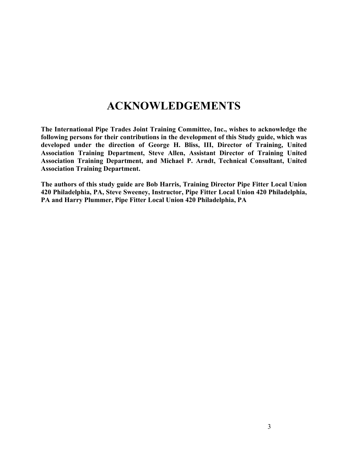## **ACKNOWLEDGEMENTS**

**The International Pipe Trades Joint Training Committee, Inc., wishes to acknowledge the following persons for their contributions in the development of this Study guide, which was developed under the direction of George H. Bliss, III, Director of Training, United Association Training Department, Steve Allen, Assistant Director of Training United Association Training Department, and Michael P. Arndt, Technical Consultant, United Association Training Department.** 

**The authors of this study guide are Bob Harris, Training Director Pipe Fitter Local Union 420 Philadelphia, PA, Steve Sweeney, Instructor, Pipe Fitter Local Union 420 Philadelphia, PA and Harry Plummer, Pipe Fitter Local Union 420 Philadelphia, PA**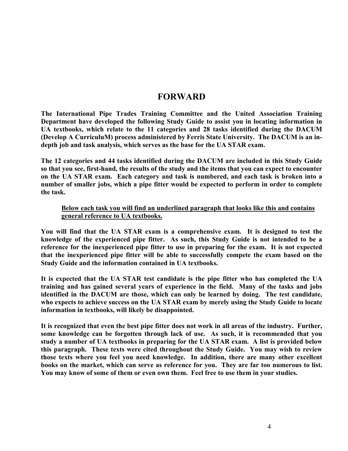### **FORWARD**

**The International Pipe Trades Training Committee and the United Association Training Department have developed the following Study Guide to assist you in locating information in UA textbooks, which relate to the 11 categories and 28 tasks identified during the DACUM (Develop A CurriculuM) process administered by Ferris State University. The DACUM is an indepth job and task analysis, which serves as the base for the UA STAR exam.** 

**The 12 categories and 44 tasks identified during the DACUM are included in this Study Guide so that you see, first-hand, the results of the study and the items that you can expect to encounter on the UA STAR exam. Each category and task is numbered, and each task is broken into a number of smaller jobs, which a pipe fitter would be expected to perform in order to complete the task.** 

#### **Below each task you will find an underlined paragraph that looks like this and contains general reference to UA textbooks.**

**You will find that the UA STAR exam is a comprehensive exam. It is designed to test the knowledge of the experienced pipe fitter. As such, this Study Guide is not intended to be a reference for the inexperienced pipe fitter to use in preparing for the exam. It is not expected that the inexperienced pipe fitter will be able to successfully compete the exam based on the Study Guide and the information contained in UA textbooks.** 

**It is expected that the UA STAR test candidate is the pipe fitter who has completed the UA training and has gained several years of experience in the field. Many of the tasks and jobs identified in the DACUM are those, which can only be learned by doing. The test candidate, who expects to achieve success on the UA STAR exam by merely using the Study Guide to locate information in textbooks, will likely be disappointed.** 

**It is recognized that even the best pipe fitter does not work in all areas of the industry. Further, some knowledge can be forgotten through lack of use. As such, it is recommended that you study a number of UA textbooks in preparing for the UA STAR exam. A list is provided below this paragraph. These texts were cited throughout the Study Guide. You may wish to review those texts where you feel you need knowledge. In addition, there are many other excellent books on the market, which can serve as reference for you. They are far too numerous to list. You may know of some of them or even own them. Feel free to use them in your studies.**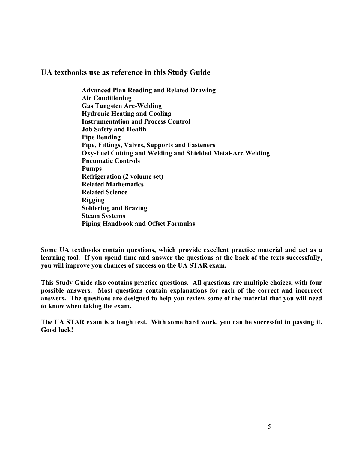#### **UA textbooks use as reference in this Study Guide**

**Advanced Plan Reading and Related Drawing Air Conditioning Gas Tungsten Arc-Welding Hydronic Heating and Cooling Instrumentation and Process Control Job Safety and Health Pipe Bending Pipe, Fittings, Valves, Supports and Fasteners Oxy-Fuel Cutting and Welding and Shielded Metal-Arc Welding Pneumatic Controls Pumps Refrigeration (2 volume set) Related Mathematics Related Science Rigging Soldering and Brazing Steam Systems Piping Handbook and Offset Formulas** 

**Some UA textbooks contain questions, which provide excellent practice material and act as a learning tool. If you spend time and answer the questions at the back of the texts successfully, you will improve you chances of success on the UA STAR exam.**

**This Study Guide also contains practice questions. All questions are multiple choices, with four possible answers. Most questions contain explanations for each of the correct and incorrect answers. The questions are designed to help you review some of the material that you will need to know when taking the exam.** 

**The UA STAR exam is a tough test. With some hard work, you can be successful in passing it. Good luck!**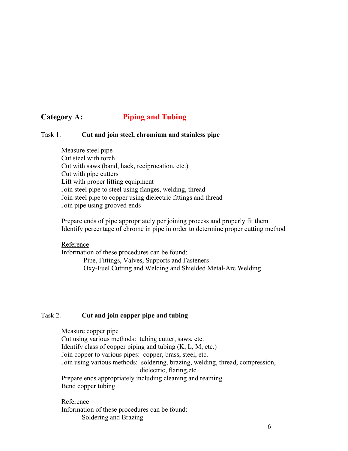### **Category A: Piping and Tubing**

#### Task 1. **Cut and join steel, chromium and stainless pipe**

 Measure steel pipe Cut steel with torch Cut with saws (band, hack, reciprocation, etc.) Cut with pipe cutters Lift with proper lifting equipment Join steel pipe to steel using flanges, welding, thread Join steel pipe to copper using dielectric fittings and thread Join pipe using grooved ends

Prepare ends of pipe appropriately per joining process and properly fit them Identify percentage of chrome in pipe in order to determine proper cutting method

#### Reference

Information of these procedures can be found: Pipe, Fittings, Valves, Supports and Fasteners Oxy-Fuel Cutting and Welding and Shielded Metal-Arc Welding

#### Task 2. **Cut and join copper pipe and tubing**

 Measure copper pipe Cut using various methods: tubing cutter, saws, etc. Identify class of copper piping and tubing  $(K, L, M, etc.)$ Join copper to various pipes: copper, brass, steel, etc. Join using various methods: soldering, brazing, welding, thread, compression, dielectric, flaring,etc. Prepare ends appropriately including cleaning and reaming Bend copper tubing

Reference Information of these procedures can be found: Soldering and Brazing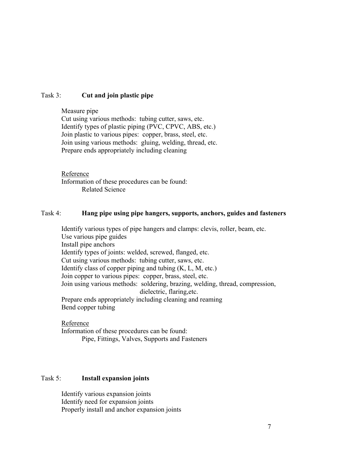#### Task 3: **Cut and join plastic pipe**

 Measure pipe Cut using various methods: tubing cutter, saws, etc. Identify types of plastic piping (PVC, CPVC, ABS, etc.) Join plastic to various pipes: copper, brass, steel, etc. Join using various methods: gluing, welding, thread, etc. Prepare ends appropriately including cleaning

#### Reference

Information of these procedures can be found: Related Science

#### Task 4: **Hang pipe using pipe hangers, supports, anchors, guides and fasteners**

Identify various types of pipe hangers and clamps: clevis, roller, beam, etc. Use various pipe guides Install pipe anchors Identify types of joints: welded, screwed, flanged, etc. Cut using various methods: tubing cutter, saws, etc. Identify class of copper piping and tubing  $(K, L, M, etc.)$ Join copper to various pipes: copper, brass, steel, etc. Join using various methods: soldering, brazing, welding, thread, compression, dielectric, flaring,etc. Prepare ends appropriately including cleaning and reaming Bend copper tubing

Reference Information of these procedures can be found: Pipe, Fittings, Valves, Supports and Fasteners

#### Task 5: **Install expansion joints**

Identify various expansion joints Identify need for expansion joints Properly install and anchor expansion joints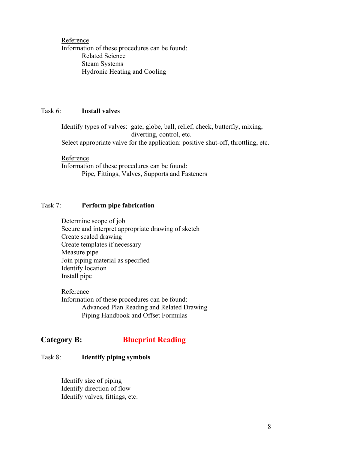Reference Information of these procedures can be found: Related Science Steam Systems Hydronic Heating and Cooling

#### Task 6: **Install valves**

Identify types of valves: gate, globe, ball, relief, check, butterfly, mixing, diverting, control, etc. Select appropriate valve for the application: positive shut-off, throttling, etc.

Reference

Information of these procedures can be found: Pipe, Fittings, Valves, Supports and Fasteners

#### Task 7: **Perform pipe fabrication**

Determine scope of job Secure and interpret appropriate drawing of sketch Create scaled drawing Create templates if necessary Measure pipe Join piping material as specified Identify location Install pipe

Reference Information of these procedures can be found: Advanced Plan Reading and Related Drawing Piping Handbook and Offset Formulas

### **Category B: Blueprint Reading**

#### Task 8: **Identify piping symbols**

Identify size of piping Identify direction of flow Identify valves, fittings, etc.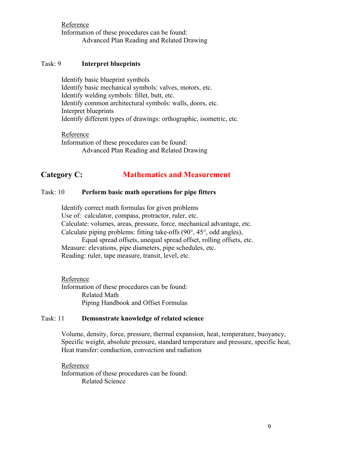Reference Information of these procedures can be found: Advanced Plan Reading and Related Drawing

#### Task: 9 **Interpret blueprints**

Identify basic blueprint symbols Identify basic mechanical symbols: valves, motors, etc. Identify welding symbols: fillet, butt, etc. Identify common architectural symbols: walls, doors, etc. Interpret blueprints Identify different types of drawings: orthographic, isometric, etc.

Reference Information of these procedures can be found: Advanced Plan Reading and Related Drawing

### **Category C: Mathematics and Measurement**

#### Task: 10 **Perform basic math operations for pipe fitters**

Identify correct math formulas for given problems Use of: calculator, compass, protractor, ruler, etc. Calculate: volumes, areas, pressure, force, mechanical advantage, etc. Calculate piping problems: fitting take-offs (90°, 45°, odd angles),

Equal spread offsets, unequal spread offset, rolling offsets, etc. Measure: elevations, pipe diameters, pipe schedules, etc. Reading: ruler, tape measure, transit, level, etc.

Reference Information of these procedures can be found: Related Math Piping Handbook and Offset Formulas

#### Task: 11 **Demonstrate knowledge of related science**

Volume, density, force, pressure, thermal expansion, heat, temperature, buoyancy, Specific weight, absolute pressure, standard temperature and pressure, specific heat, Heat transfer: conduction, convection and radiation

Reference Information of these procedures can be found: Related Science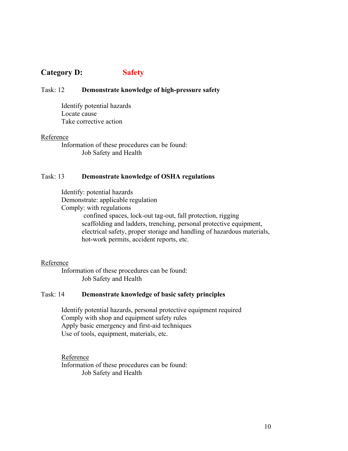### **Category D: Safety**

#### Task: 12 **Demonstrate knowledge of high-pressure safety**

Identify potential hazards Locate cause Take corrective action

#### Reference

Information of these procedures can be found: Job Safety and Health

#### Task: 13 **Demonstrate knowledge of OSHA regulations**

Identify: potential hazards Demonstrate: applicable regulation Comply: with regulations confined spaces, lock-out tag-out, fall protection, rigging scaffolding and ladders, trenching, personal protective equipment, electrical safety, proper storage and handling of hazardous materials, hot-work permits, accident reports, etc.

#### Reference

Information of these procedures can be found: Job Safety and Health

#### Task: 14 **Demonstrate knowledge of basic safety principles**

Identify potential hazards, personal protective equipment required Comply with shop and equipment safety rules Apply basic emergency and first-aid techniques Use of tools, equipment, materials, etc.

Reference Information of these procedures can be found: Job Safety and Health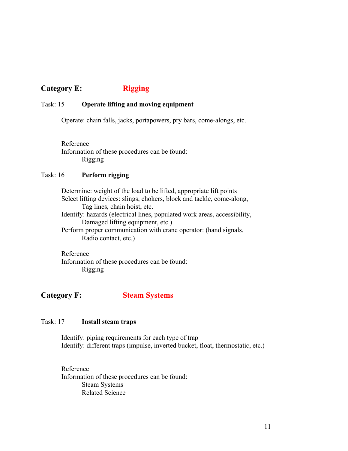### **Category E:** Rigging

#### Task: 15 **Operate lifting and moving equipment**

Operate: chain falls, jacks, portapowers, pry bars, come-alongs, etc.

Reference Information of these procedures can be found: Rigging

#### Task: 16 **Perform rigging**

Determine: weight of the load to be lifted, appropriate lift points Select lifting devices: slings, chokers, block and tackle, come-along, Tag lines, chain hoist, etc. Identify: hazards (electrical lines, populated work areas, accessibility, Damaged lifting equipment, etc.) Perform proper communication with crane operator: (hand signals, Radio contact, etc.)

Reference Information of these procedures can be found: Rigging

**Category F: Steam Systems**

#### Task: 17 **Install steam traps**

Identify: piping requirements for each type of trap Identify: different traps (impulse, inverted bucket, float, thermostatic, etc.)

Reference Information of these procedures can be found: Steam Systems Related Science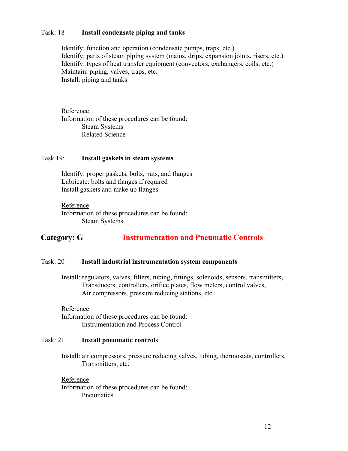#### Task: 18 **Install condensate piping and tanks**

Identify: function and operation (condensate pumps, traps, etc.) Identify: parts of steam piping system (mains, drips, expansion joints, risers, etc.) Identify: types of heat transfer equipment (convectors, exchangers, coils, etc.) Maintain: piping, valves, traps, etc. Install: piping and tanks

Reference Information of these procedures can be found: Steam Systems Related Science

#### Task 19: **Install gaskets in steam systems**

Identify: proper gaskets, bolts, nuts, and flanges Lubricate: bolts and flanges if required Install gaskets and make up flanges

Reference Information of these procedures can be found: Steam Systems

### **Category: G Instrumentation and Pneumatic Controls**

#### Task: 20 **Install industrial instrumentation system components**

Install: regulators, valves, filters, tubing, fittings, solenoids, sensors, transmitters, Transducers, controllers, orifice plates, flow meters, control valves, Air compressors, pressure reducing stations, etc.

#### Reference

Information of these procedures can be found: Instrumentation and Process Control

#### Task: 21 **Install pneumatic controls**

Install: air compressors, pressure reducing valves, tubing, thermostats, controllers, Transmitters, etc.

Reference

Information of these procedures can be found: **Pneumatics**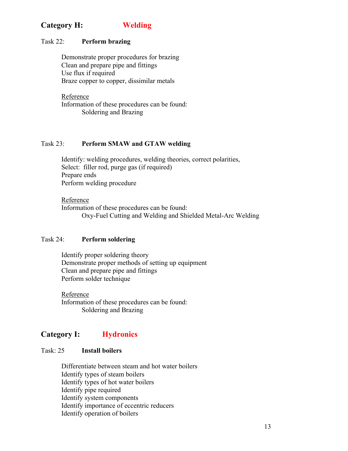### **Category H: Welding**

#### Task 22: **Perform brazing**

Demonstrate proper procedures for brazing Clean and prepare pipe and fittings Use flux if required Braze copper to copper, dissimilar metals

Reference Information of these procedures can be found: Soldering and Brazing

#### Task 23: **Perform SMAW and GTAW welding**

Identify: welding procedures, welding theories, correct polarities, Select: filler rod, purge gas (if required) Prepare ends Perform welding procedure

Reference Information of these procedures can be found: Oxy-Fuel Cutting and Welding and Shielded Metal-Arc Welding

#### Task 24: **Perform soldering**

Identify proper soldering theory Demonstrate proper methods of setting up equipment Clean and prepare pipe and fittings Perform solder technique

Reference Information of these procedures can be found: Soldering and Brazing

### **Category I: Hydronics**

#### Task: 25 **Install boilers**

Differentiate between steam and hot water boilers Identify types of steam boilers Identify types of hot water boilers Identify pipe required Identify system components Identify importance of eccentric reducers Identify operation of boilers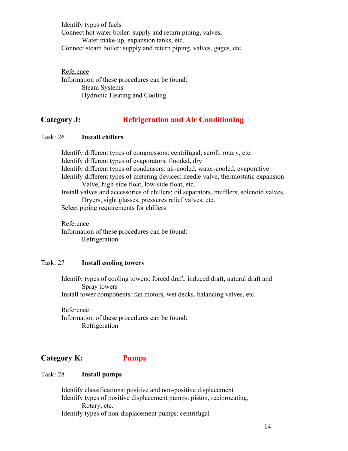Identify types of fuels Connect hot water boiler: supply and return piping, valves, Water make-up, expansion tanks, etc. Connect steam boiler: supply and return piping, valves, gages, etc.

Reference Information of these procedures can be found: Steam Systems Hydronic Heating and Cooling

### **Category J: Refrigeration and Air Conditioning**

#### Task: 26 **Install chillers**

Identify different types of compressors: centrifugal, scroll, rotary, etc. Identify different types of evaporators: flooded, dry Identify different types of condensers: air-cooled, water-cooled, evaporative Identify different types of metering devices: needle valve, thermostatic expansion Valve, high-side float, low-side float, etc. Install valves and accessories of chillers: oil separators, mufflers, solenoid valves, Dryers, sight glasses, pressures relief valves, etc. Select piping requirements for chillers

Reference Information of these procedures can be found: Refrigeration

#### Task: 27 **Install cooling towers**

Identify types of cooling towers: forced draft, induced draft, natural draft and Spray towers Install tower components: fan motors, wet decks, balancing valves, etc.

Reference Information of these procedures can be found: Refrigeration

### **Category K: Pumps**

#### Task: 28 **Install pumps**

Identify classifications: positive and non-positive displacement Identify types of positive displacement pumps: piston, reciprocating, Rotary, etc. Identify types of non-displacement pumps: centrifugal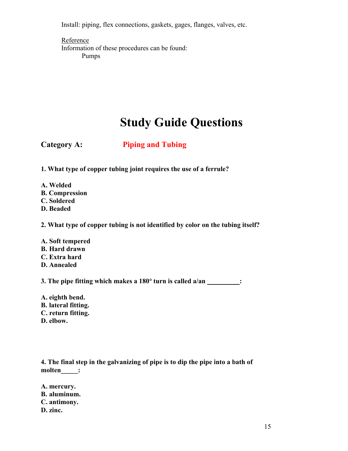Install: piping, flex connections, gaskets, gages, flanges, valves, etc.

**Reference** Information of these procedures can be found: Pumps

# **Study Guide Questions**

### **Category A: Piping and Tubing**

**1. What type of copper tubing joint requires the use of a ferrule?** 

- **A. Welded**
- **B. Compression**
- **C. Soldered**
- **D. Beaded**

**2. What type of copper tubing is not identified by color on the tubing itself?** 

**A. Soft tempered B. Hard drawn C. Extra hard D. Annealed** 

**3. The pipe fitting which makes a 180**° **turn is called a/an \_\_\_\_\_\_\_\_\_ :**

**A. eighth bend. B. lateral fitting. C. return fitting. D. elbow.** 

**4. The final step in the galvanizing of pipe is to dip the pipe into a bath of molten\_\_\_\_\_:** 

**A. mercury. B. aluminum. C. antimony. D. zinc.**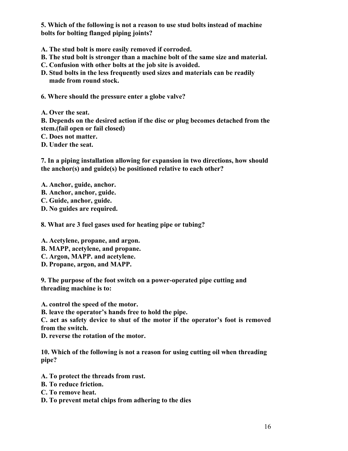**5. Which of the following is not a reason to use stud bolts instead of machine bolts for bolting flanged piping joints?** 

- **A. The stud bolt is more easily removed if corroded.**
- **B. The stud bolt is stronger than a machine bolt of the same size and material.**
- **C. Confusion with other bolts at the job site is avoided.**
- **D. Stud bolts in the less frequently used sizes and materials can be readily made from round stock.**
- **6. Where should the pressure enter a globe valve?**
- **A. Over the seat.**

**B. Depends on the desired action if the disc or plug becomes detached from the stem.(fail open or fail closed)** 

**C. Does not matter.** 

**D. Under the seat.** 

**7. In a piping installation allowing for expansion in two directions, how should the anchor(s) and guide(s) be positioned relative to each other?** 

- **A. Anchor, guide, anchor.**
- **B. Anchor, anchor, guide.**
- **C. Guide, anchor, guide.**
- **D. No guides are required.**

**8. What are 3 fuel gases used for heating pipe or tubing?** 

**A. Acetylene, propane, and argon.** 

- **B. MAPP, acetylene, and propane.**
- **C. Argon, MAPP. and acetylene.**
- **D. Propane, argon, and MAPP.**

**9. The purpose of the foot switch on a power-operated pipe cutting and threading machine is to:** 

**A. control the speed of the motor.** 

**B. leave the operator's hands free to hold the pipe.** 

**C. act as safety device to shut of the motor if the operator's foot is removed from the switch.** 

**D. reverse the rotation of the motor.** 

**10. Which of the following is not a reason for using cutting oil when threading pipe?** 

- **A. To protect the threads from rust.**
- **B. To reduce friction.**
- **C. To remove heat.**
- **D. To prevent metal chips from adhering to the dies**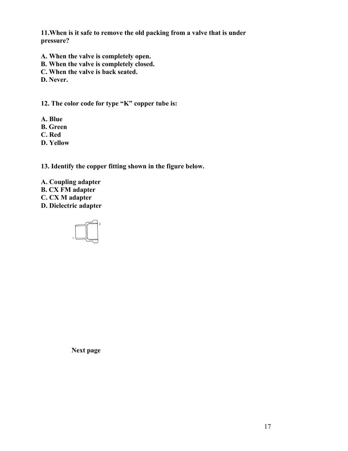**11.When is it safe to remove the old packing from a valve that is under pressure?** 

- **A. When the valve is completely open.**
- **B. When the valve is completely closed.**
- **C. When the valve is back seated.**
- **D. Never.**

**12. The color code for type "K" copper tube is:** 

- **A. Blue**
- **B. Green**
- **C. Red**
- **D. Yellow**

**13. Identify the copper fitting shown in the figure below.**

- **A. Coupling adapter**
- **B. CX FM adapter**
- **C. CX M adapter**
- **D. Dielectric adapter**



**Next page**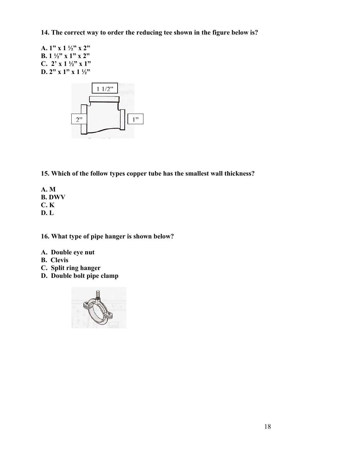**14. The correct way to order the reducing tee shown in the figure below is?** 

**A. 1" x 1 ½" x 2" B. 1 ½" x 1" x 2" C. 2' x 1 ½" x 1" D. 2" x 1" x 1 ½"** 



**15. Which of the follow types copper tube has the smallest wall thickness?** 

**A. M B. DWV C. K D. L** 

**16. What type of pipe hanger is shown below?**

- **A. Double eye nut**
- **B. Clevis**
- **C. Split ring hanger**
- **D. Double bolt pipe clamp**

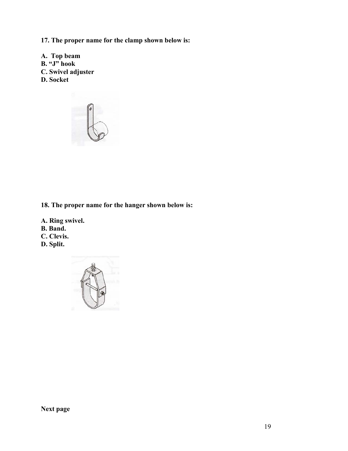**17. The proper name for the clamp shown below is:** 

**A. Top beam B. "J" hook C. Swivel adjuster D. Socket** 



### **18. The proper name for the hanger shown below is:**

**A. Ring swivel. B. Band. C. Clevis. D. Split.** 

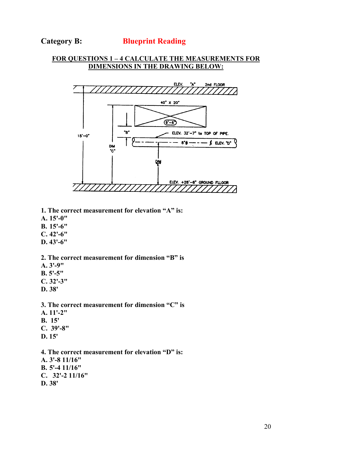#### **Category B: Blueprint Reading**

#### **FOR QUESTIONS 1 – 4 CALCULATE THE MEASUREMENTS FOR DIMENSIONS IN THE DRAWING BELOW:**



- **1. The correct measurement for elevation "A" is:**
- **A. 15'-0"**
- **B. 15'-6"**
- **C. 42'-6"**
- **D. 43'-6"**
- **2. The correct measurement for dimension "B" is**
- **A. 3'-9"**
- **B. 5'-5"**
- **C. 32'-3"**
- **D. 38'**
- **3. The correct measurement for dimension "C" is**
- **A. 11'-2"**
- **B. 15'**
- **C. 39'-8"**
- **D. 15'**
- **4. The correct measurement for elevation "D" is: A. 3'-8 11/16" B. 5'-4 11/16" C. 32'-2 11/16" D. 38'**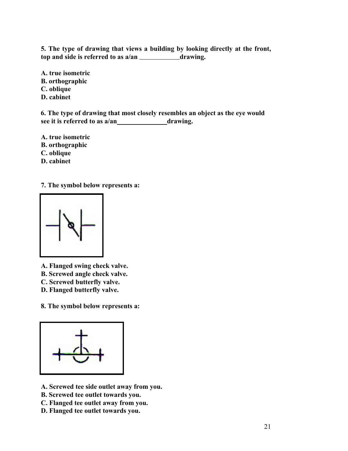**5. The type of drawing that views a building by looking directly at the front, top and side is referred to as a/an \_\_\_\_\_\_ \_\_\_\_\_\_\_\_\_\_\_\_\_\_\_\_\_\_\_\_\_\_\_\_\_\_\_\_\_drawing.** 

- **A. true isometric B. orthographic C. oblique**
- **D. cabinet**

**6. The type of drawing that most closely resembles an object as the eye would see it is referred to as a/an \_\_\_\_\_\_\_\_\_\_\_\_\_drawing.** 

**A. true isometric B. orthographic** 

- **C. oblique**
- **D. cabinet**

**7. The symbol below represents a:** 



**A. Flanged swing check valve.** 

**B. Screwed angle check valve.** 

**C. Screwed butterfly valve.** 

**D. Flanged butterfly valve.** 

**8. The symbol below represents a:** 



- **A. Screwed tee side outlet away from you.**
- **B. Screwed tee outlet towards you.**
- **C. Flanged tee outlet away from you.**
- **D. Flanged tee outlet towards you.**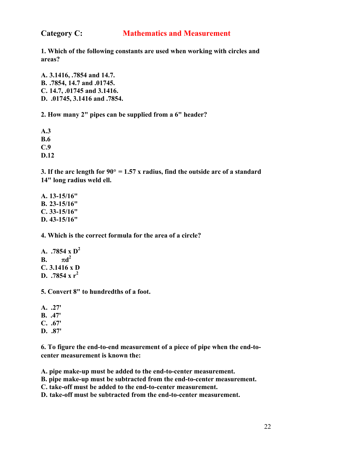### **Category C: Mathematics and Measurement**

**1. Which of the following constants are used when working with circles and areas?** 

**A. 3.1416, .7854 and 14.7. B. .7854, 14.7 and .01745. C. 14.7, .01745 and 3.1416. D. .01745, 3.1416 and .7854.** 

**2. How many 2" pipes can be supplied from a 6" header?** 

**A.3 B.6 C.9 D.12** 

**3. If the arc length for 90**° **= 1.57 x radius, find the outside arc of a standard 14" long radius weld ell.** 

**A. 13-15/16" B. 23-15/16" C. 33-15/16" D. 43-15/16"** 

**4. Which is the correct formula for the area of a circle?** 

**A. .7854 x D2 B.**  $\pi d^2$ **C. 3.1416 x D D. .7854 x r<sup>2</sup>**

**5. Convert 8" to hundredths of a foot.** 

- **A. .27' B. .47' C. .67'**
- **D. .87'**

**6. To figure the end-to-end measurement of a piece of pipe when the end-tocenter measurement is known the:** 

**A. pipe make-up must be added to the end-to-center measurement.** 

**B. pipe make-up must be subtracted from the end-to-center measurement.** 

**C. take-off must be added to the end-to-center measurement.** 

**D. take-off must be subtracted from the end-to-center measurement.**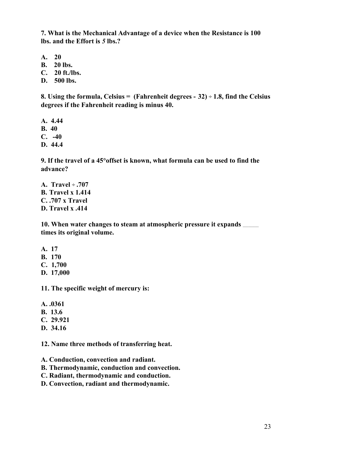**7. What is the Mechanical Advantage of a device when the Resistance is 100 lbs. and the Effort is** *5* **lbs.?** 

- **A. 20**
- **B. 20 lbs.**
- **C. 20 ft./lbs.**
- **D. 500 lbs.**

**8. Using the formula, Celsius = (Fahrenheit degrees - 32) ÷ 1.8, find the Celsius degrees if the Fahrenheit reading is minus 40.**

- **A. 4.44**
- **B. 40**
- **C. -40**
- **D. 44.4**

**9. If the travel of a 45**°**offset is known, what formula can be used to find the advance?** 

**A. Travel ÷ .707 B. Travel x 1.414 C. .707 x Travel D. Travel x .414** 

**10. When water changes to steam at atmospheric pressure it expands \_\_\_\_\_\_\_\_\_\_\_\_\_\_ times its original volume.** 

- **A. 17**
- **B. 170**
- **C. 1,700**
- **D. 17,000**

**11. The specific weight of mercury is:** 

- **A. .0361**
- **B. 13.6**
- **C. 29.921**
- **D. 34.16**

**12. Name three methods of transferring heat.**

**A. Conduction, convection and radiant.** 

- **B. Thermodynamic, conduction and convection.**
- **C. Radiant, thermodynamic and conduction.**
- **D. Convection, radiant and thermodynamic.**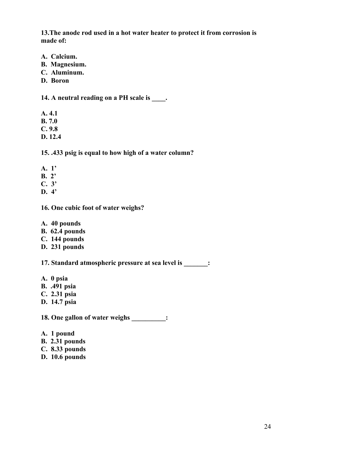**13.The anode rod used in a hot water heater to protect it from corrosion is made of:** 

- **A. Calcium.**
- **B. Magnesium.**
- **C. Aluminum.**
- **D. Boron**

**14. A neutral reading on a PH scale is \_\_\_\_.** 

- **A. 4.1**
- **B. 7.0**
- **C. 9.8**
- **D. 12.4**

**15. .433 psig is equal to how high of a water column?** 

- **A. 1'**
- **B. 2'**
- **C. 3'**
- **D. 4'**
- **16. One cubic foot of water weighs?**
- **A. 40 pounds**
- **B. 62.4 pounds**
- **C. 144 pounds**
- **D. 231 pounds**

**17. Standard atmospheric pressure at sea level is \_\_\_\_\_\_\_:** 

- **A. 0 psia**
- **B. .491 psia**
- **C. 2.31 psia**
- **D. 14.7 psia**

**18. One gallon of water weighs \_\_\_\_\_\_\_\_\_\_:** 

- **A. 1 pound**
- **B. 2.31 pounds**
- **C. 8.33 pounds**
- **D. 10.6 pounds**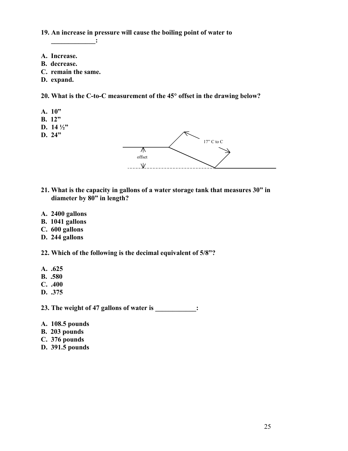**19. An increase in pressure will cause the boiling point of water to** 

**\_\_\_\_\_\_\_\_\_\_\_\_\_:** 

- **A. Increase.**
- **B. decrease.**
- **C. remain the same.**
- **D. expand.**

**20. What is the C-to-C measurement of the 45**° **offset in the drawing below?**

- **A. 10"**
- **B. 12"**
- **D. 14 ½"**
- **D. 24"**



- **21. What is the capacity in gallons of a water storage tank that measures 30" in diameter by 80" in length?**
- **A. 2400 gallons**
- **B. 1041 gallons**
- **C. 600 gallons**
- **D. 244 gallons**
- **22. Which of the following is the decimal equivalent of 5/8"?**
- **A. .625**
- **B. .580**
- **C. .400**
- **D. .375**

**23. The weight of 47 gallons of water is \_\_\_\_\_\_\_\_\_\_\_\_:** 

- **A. 108.5 pounds**
- **B. 203 pounds**
- **C. 376 pounds**
- **D. 391.5 pounds**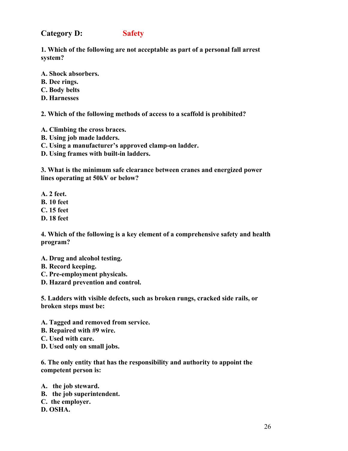### **Category D: Safety**

**1. Which of the following are not acceptable as part of a personal fall arrest system?** 

**A. Shock absorbers.** 

- **B. Dee rings.**
- **C. Body belts**
- **D. Harnesses**

**2. Which of the following methods of access to a scaffold is prohibited?** 

- **A. Climbing the cross braces.**
- **B. Using job made ladders.**
- **C. Using a manufacturer's approved clamp-on ladder.**
- **D. Using frames with built-in ladders.**

**3. What is the minimum safe clearance between cranes and energized power lines operating at 50kV or below?**

- **A. 2 feet.**
- **B. 10 feet**
- **C. 15 feet**
- **D. 18 feet**

**4. Which of the following is a key element of a comprehensive safety and health program?** 

- **A. Drug and alcohol testing.**
- **B. Record keeping.**
- **C. Pre-employment physicals.**
- **D. Hazard prevention and control.**

**5. Ladders with visible defects, such as broken rungs, cracked side rails, or broken steps must be:** 

- **A. Tagged and removed from service.**
- **B. Repaired with #9 wire.**
- **C. Used with care.**
- **D. Used only on small jobs.**

**6. The only entity that has the responsibility and authority to appoint the competent person is:** 

**A. the job steward. B. the job superintendent. C. the employer. D. OSHA.**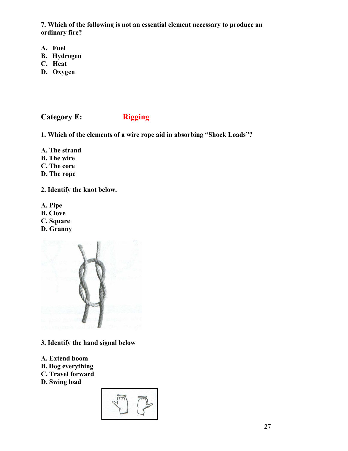**7. Which of the following is not an essential element necessary to produce an ordinary fire?** 

- **A. Fuel**
- **B. Hydrogen**
- **C. Heat**
- **D. Oxygen**

**Category E: Rigging** 

**1. Which of the elements of a wire rope aid in absorbing "Shock Loads"?** 

- **A. The strand**
- **B. The wire**
- **C. The core**
- **D. The rope**

**2. Identify the knot below.**

- **A. Pipe**
- **B. Clove**
- **C. Square**
- **D. Granny**



- **3. Identify the hand signal below**
- **A. Extend boom**
- **B. Dog everything**
- **C. Travel forward**
- **D. Swing load**

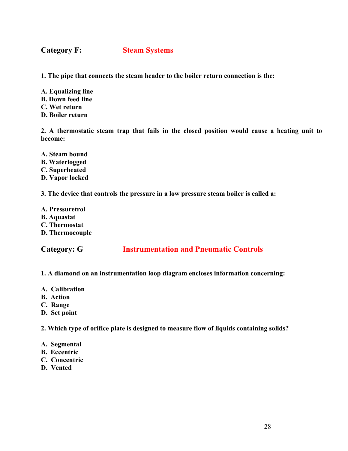**Category F: Steam Systems**

**1. The pipe that connects the steam header to the boiler return connection is the:** 

**A. Equalizing line B. Down feed line C. Wet return D. Boiler return** 

**2. A thermostatic steam trap that fails in the closed position would cause a heating unit to become:** 

- **A. Steam bound B. Waterlogged C. Superheated**
- **D. Vapor locked**

**3. The device that controls the pressure in a low pressure steam boiler is called a:**

**A. Pressuretrol B. Aquastat C. Thermostat D. Thermocouple** 

**Category: G Instrumentation and Pneumatic Controls** 

**1. A diamond on an instrumentation loop diagram encloses information concerning:** 

- **A. Calibration**
- **B. Action**
- **C. Range**
- **D. Set point**

**2. Which type of orifice plate is designed to measure flow of liquids containing solids?** 

- **A. Segmental**
- **B. Eccentric**
- **C. Concentric**
- **D. Vented**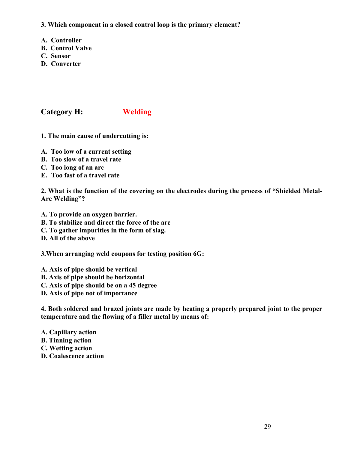**3. Which component in a closed control loop is the primary element?**

- **A. Controller**
- **B. Control Valve**
- **C. Sensor**
- **D. Converter**

**Category H: Welding** 

- **1. The main cause of undercutting is:**
- **A. Too low of a current setting**
- **B. Too slow of a travel rate**
- **C. Too long of an arc**
- **E. Too fast of a travel rate**

**2. What is the function of the covering on the electrodes during the process of "Shielded Metal-Arc Welding"?** 

- **A. To provide an oxygen barrier.**
- **B. To stabilize and direct the force of the arc**
- **C. To gather impurities in the form of slag.**

**D. All of the above** 

**3.When arranging weld coupons for testing position 6G:** 

- **A. Axis of pipe should be vertical**
- **B. Axis of pipe should be horizontal**
- **C. Axis of pipe should be on a 45 degree**
- **D. Axis of pipe not of importance**

**4. Both soldered and brazed joints are made by heating a properly prepared joint to the proper temperature and the flowing of a filler metal by means of:** 

- **A. Capillary action**
- **B. Tinning action**
- **C. Wetting action**
- **D. Coalescence action**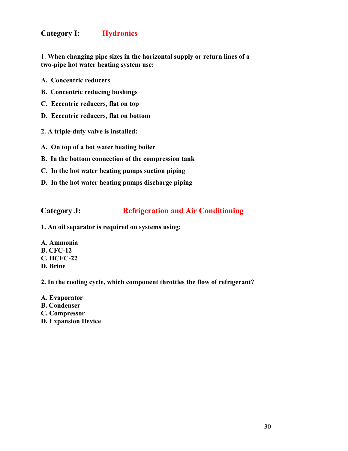### **Category I: Hydronics**

1. **When changing pipe sizes in the horizontal supply or return lines of a two-pipe hot water heating system use:** 

- **A. Concentric reducers**
- **B. Concentric reducing bushings**
- **C. Eccentric reducers, flat on top**
- **D. Eccentric reducers, flat on bottom**
- **2. A triple-duty valve is installed:**
- **A. On top of a hot water heating boiler**
- **B. In the bottom connection of the compression tank**
- **C. In the hot water heating pumps suction piping**
- **D. In the hot water heating pumps discharge piping**

### **Category J: Refrigeration and Air Conditioning**

- **1. An oil separator is required on systems using:**
- **A. Ammonia B. CFC-12 C. HCFC-22 D. Brine**

**2. In the cooling cycle, which component throttles the flow of refrigerant?** 

**A. Evaporator B. Condenser C. Compressor D. Expansion Device**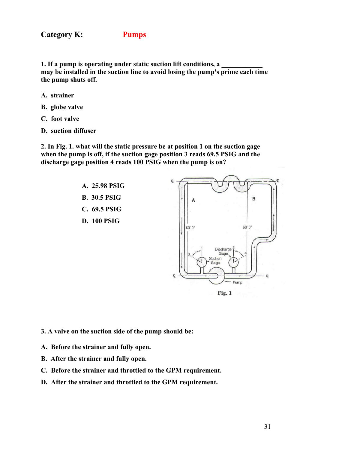**Category K: Pumps** 

**1.** If a pump is operating under static suction lift conditions, a **may be installed in the suction line to avoid losing the pump's prime each time the pump shuts off.** 

- **A. strainer**
- **B. globe valve**
- **C. foot valve**
- **D. suction diffuser**

**2. In Fig. 1. what will the static pressure be at position 1 on the suction gage when the pump is off, if the suction gage position 3 reads 69.5 PSIG and the discharge gage position 4 reads 100 PSIG when the pump is on?** 



**3. A valve on the suction side of the pump should be:** 

- **A. Before the strainer and fully open.**
- **B. After the strainer and fully open.**
- **C. Before the strainer and throttled to the GPM requirement.**
- **D. After the strainer and throttled to the GPM requirement.**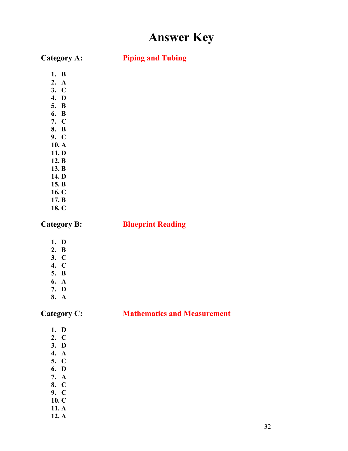# **Answer Key**

**Category A: Piping and Tubing**

- **1. B**
- **2. A**
- **3. C**
- **4. D**
- **5. B 6. B**
- **7. C**
- **8. B**
- **9. C**
- **10. A**
- **11. D**
- **12. B**
- **13. B**
- **14. D**
- **15. B 16. C**
- **17. B**
- **18. C**

### **Category B: Blueprint Reading**

- **1. D**
- **2. B**
- **3. C 4. C**
- **5. B**
- **6. A**
- **7. D**
- **8. A**

### **Category C: Mathematics and Measurement**

- **1. D**
- **2. C**
- **3. D**
- **4. A**
- **5. C 6. D**
- **7. A**
- **8. C**
- **9. C**
- **10. C**
- **11. A**
- **12. A**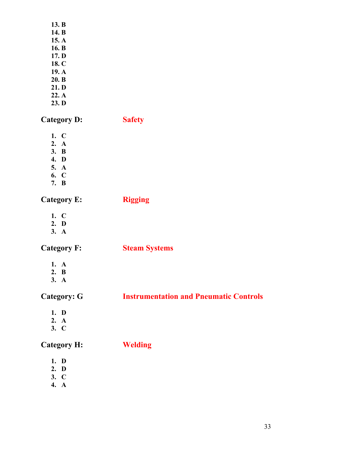| 13. B   |  |
|---------|--|
| 14. B   |  |
| 15. $A$ |  |
| 16. B   |  |
| 17. D   |  |
| 18. C   |  |

- **19. A**
- **20. B**
- **21. D**
- **22. A**
- **23. D**

**Category D: Safety** 

- **1. C**
- **2. A**
- **3. B**
- **4. D 5. A**
- **6. C**
- **7. B**

**Category E: Rigging** 

- **1. C** 
	-
- **2. D 3. A**

**Category F: Steam Systems**

- **1. A**
- **2. B**
- **3. A**

**Category: G Instrumentation and Pneumatic Controls** 

- **1. D**
- **2. A**
- **3. C**

**Category H: Welding** 

- **1. D**
- **2. D**
- **3. C**
- **4. A**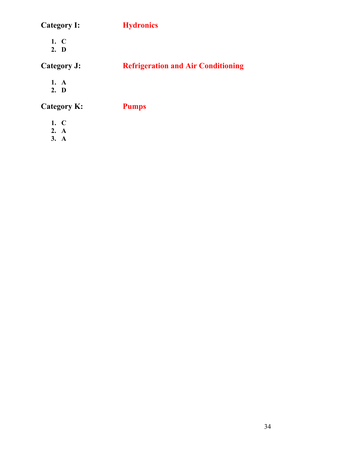| <b>Category I:</b> | <b>Hydronics</b>                          |
|--------------------|-------------------------------------------|
| $1. \, C$<br>2. D  |                                           |
| Category J:        | <b>Refrigeration and Air Conditioning</b> |
| 1. A<br>2. D       |                                           |
| Category K:        | <b>Pumps</b>                              |
| 1. C               |                                           |

**2. A 3. A**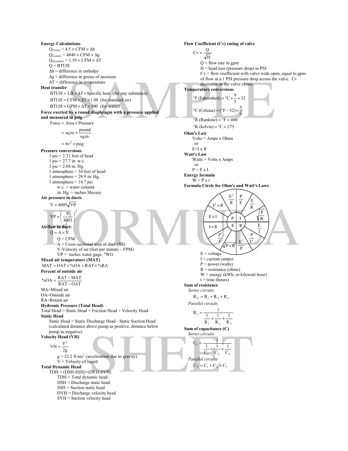**Energy Calculations**   $Q_{(Total)} = 4.5 \times CFM \times \Delta h$  $Q_{(Latent)} = 4840 \times CFM \times \Delta g$  $Q_{(Sensible)} = 1.10 \times CFM \times \Delta T$  $Q = B T U H$  $\Delta h =$  difference in enthalpy  $\Delta g$  = difference in grains of moisture ∆T = difference in temperature **Heat transfer**   $BTUH = LB. \times \Delta T \times Specific heat$  (for any substance)  $BTUH = CFM \times \Delta T \times 1.08$  (for standard air)  $BTUH = GPM \times \Delta T \times 500$  (for water) **Force exerted by a round diaphragm with a pressure applied and measured in psig**   $= \pi r^2 \times \text{psig}$ sq.in.  $=$  sq.in.  $\times \frac{\text{pound}}{\cdot}$  $Force = Area \times Pressure$ **Pressure conversions**   $1 \text{ psi} = 2.31 \text{ feet of head}$  $1 \text{ psi} = 27.7 \text{ in. w.c.}$  $1 \text{ psi} = 2.04 \text{ in. Hg.}$ 1 atmosphere = 34 feet of head 1 atmosphere =  $29.9$  in. Hg. 1 atmosphere =  $14.7$  psi w.c. = water column in. Hg. = inches Mecury **Air pressure in ducts**  2  $\left(\frac{\rm V}{4005}\right)$  $VP = \frac{V}{1.25}$  $V = 4005 \sqrt{VP}$  $\overline{\phantom{a}}$ J l **Airflow in duct:**   $Q = A \times V$  $Q = CFM$  $\overline{A}$  = Cross sectional area of duct (ft2) V-Velocity of air (feet per minute – FPM) VP = inches water gage, "WG **Mixed air temperature (MAT)**   $MAT = OAT \times \% OA + RAT \times \% RA$ **Percent of outside air**   $RAT-OAT$  $\%OA = \frac{RAT - MAT}{RAT - OAT}$ MA=Mixed air OA=Outside air RA=Return air **Hydronic Pressure (Total Head)**  Total Head = Static Head + Friction Head + Velocity Head **Static Head**  Static Head = Static Discharge Head - Static Suction Head (calculated distance above pump as positive, distance below pump as negative) **Velocity Head (VH)**   $VH = \frac{V^2}{2g}$  $g = 32.2$  ft/sec<sup>2</sup> (acceleration due to gravity)  $V =$  Velocity of liquid **Total Dynamic Head**  TDH = (DSH-SSH)+(DVH-SVH) TDH = Total dynamic head DSH = Discharge static head SSH = Suction static head DVH = Discharge velocity head SVH = Suction velocity head **Flow Coefficient (Cv) rating of valve**   $Cv = \frac{Q}{\sqrt{H}}$  $Q =$  flow rate in gpm  $H =$  head loss (pressure drop) in PSI  $Cv =$  flow coefficient with valve wide open, equal to gpm of flow at a 1 PSI pressure drop across the valve. Cv decreases as the valve closes. **Temperature conversions**   $\mathrm{K}$  (kelvin) =  $\mathrm{C} = 273$  $\mathrm{P} \cdot \mathrm{R}$  (Rankine) =  $\mathrm{P} \mathrm{F} = 460$ 9  $\rm{^{\circ}C}$  (Celsius) =  $\rm{(^{\circ}F-32)} \times \frac{5}{2}$ 32 5  ${}^{\circ}$ F (Fahrenheit) =  ${}^{\circ}$ C $\times \frac{9}{5}$  + **Ohm's Law**  Volts = Amps x Ohms or E=I x R **Watt's Law**  Watts = Volts x Amps or  $P = E \times I$ **Energy formula**   $W = P x t$ **Formula Circle for Ohm's and Watt's Laws**   $E = voltage$  $I = current (amps)$  $P = power (watts)$  $R =$  resistance (ohms) W = energy (kWh, or kilowatt-hour)  $t =$  time (hours) **Sum of resistance**  *Series circuits*   $R_T = R_1 + R_2 + R_3$ *Parallel circuits*   $R_1$   $R_2$   $R_3$ t  $R_{3}$  $+\frac{1}{2}+\frac{1}{2}$  $R_1$ 1  $R_1 = \frac{1}{1}$ = **Sum of capacitance (C)**  *Series circuits*   $\frac{1}{C_1} + \frac{1}{C_2} + \frac{1}{C_3}$ C.  $C_3$  $\overline{1}$ 1  $C_t = \frac{1}{1 - 1}$ = *Parallel circuits*   $C_T = C_1 + C_2 + C_3$ R P R  $\frac{1}{E}$  /  $\frac{E}{E}$ P R  $E^2$  $I^2 \times R$ E× I  $I \times R$ I P  $P\times R$  $E^2 \setminus I^2$ I P I E I  $E | R$ P